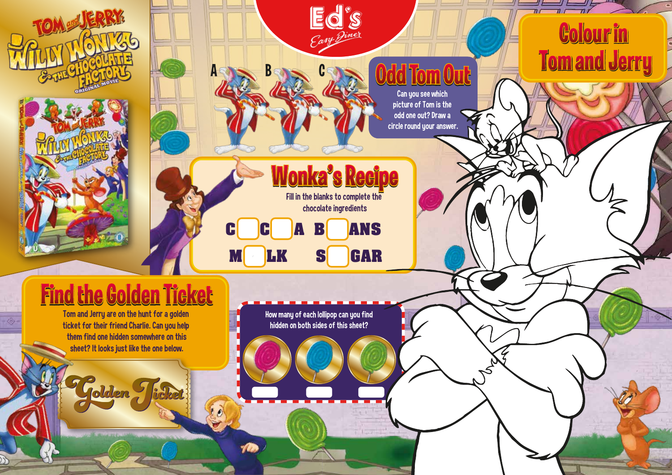